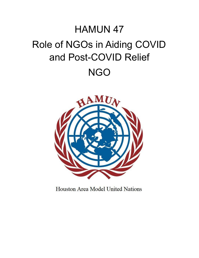## HAMUN 47 Role of NGOs in Aiding COVID and Post-COVID Relief NGO



Houston Area Model United Nations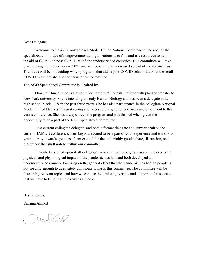## Dear Delegates,

Welcome to the 47<sup>th</sup> Houston Area Model United Nations Conference! The goal of the specialized committee of nongovernmental organizations is to find and use resources to help in the aid of COVID in post-COVID relief and underserviced countries. This committee will take place during the modern era of 2021 and will be during an increased spread of the coronavirus. The focus will be in deciding which programs that aid in post-COVID rehabilitation and overall COVID treatment shall be the focus of the committee.

## The NGO Specialized Committee is Chaired by,

Omama Ahmed, who is a current Sophomore at Lonestar college with plans to transfer to New York university. She is intending to study Human Biology and has been a delegate in her high school Model UN in the past three years. She has also participated in the collegiate National Model United Nations this past spring and hopes to bring her experiences and enjoyment to this year's conference. She has always loved the program and was thrilled when given the opportunity to be a part of the NGO specialized committee.

As a current collegiate delegate, and both a former delegate and current chair to the current HAMUN conference, I am beyond excited to be a part of your experience and embark on your journey towards greatness. I am excited for the undeniably good debate, discussion, and diplomacy that shall unfold within our committee.

It would be smiled upon if all delegates make sure to thoroughly research the economic, physical, and physiological impact of the pandemic has had and both developed an underdeveloped country. Focusing on the general effect that the pandemic has had on people is not specific enough to adequately contribute towards this committee. The committee will be discussing relevant topics and how we can use the limited governmental support and resources that we have to benefit all citizens as a whole

Best Regards,

Omama Ahmed

mounted